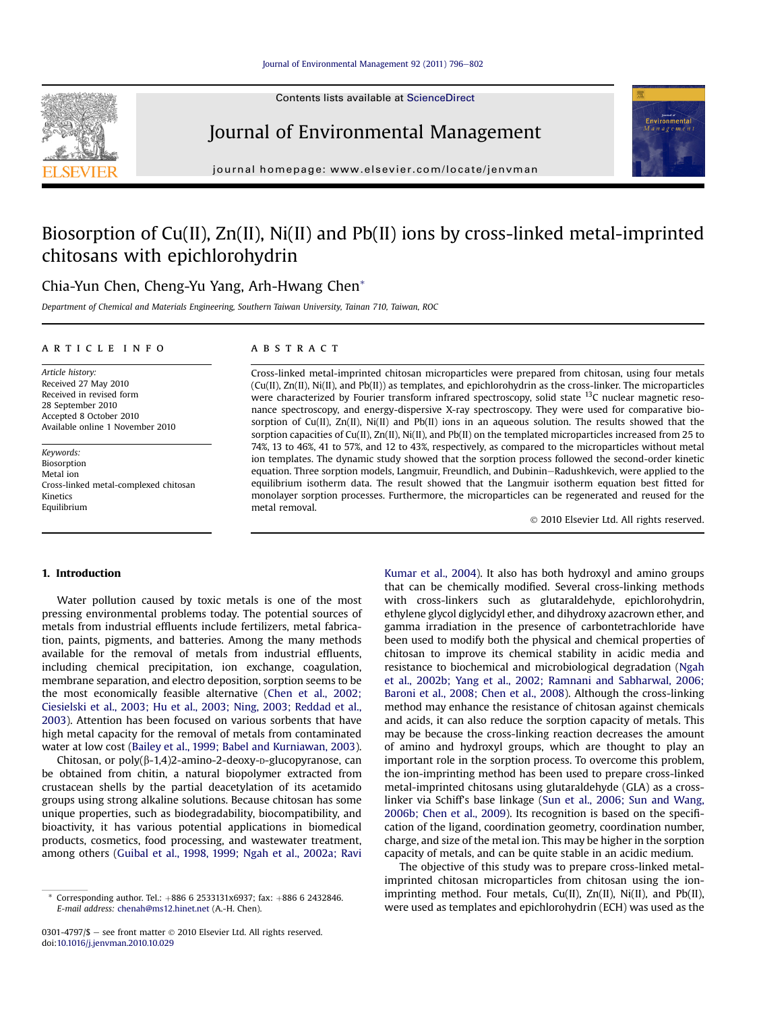Contents lists available at ScienceDirect



## Journal of Environmental Management



journal homepage: [www.elsevier.com/locate/jenvman](http://www.elsevier.com/locate/jenvman)

# Biosorption of Cu(II), Zn(II), Ni(II) and Pb(II) ions by cross-linked metal-imprinted chitosans with epichlorohydrin

## Chia-Yun Chen, Cheng-Yu Yang, Arh-Hwang Chen\*

Department of Chemical and Materials Engineering, Southern Taiwan University, Tainan 710, Taiwan, ROC

#### article info

Article history: Received 27 May 2010 Received in revised form 28 September 2010 Accepted 8 October 2010 Available online 1 November 2010

Keywords: **Biosorption** Metal ion Cross-linked metal-complexed chitosan Kinetics Equilibrium

## **ABSTRACT**

Cross-linked metal-imprinted chitosan microparticles were prepared from chitosan, using four metals (Cu(II), Zn(II), Ni(II), and Pb(II)) as templates, and epichlorohydrin as the cross-linker. The microparticles were characterized by Fourier transform infrared spectroscopy, solid state  $^{13}$ C nuclear magnetic resonance spectroscopy, and energy-dispersive X-ray spectroscopy. They were used for comparative biosorption of Cu(II),  $\text{Zn(II)}$ , Ni(II) and Pb(II) ions in an aqueous solution. The results showed that the sorption capacities of Cu(II), Zn(II), Ni(II), and Pb(II) on the templated microparticles increased from 25 to 74%, 13 to 46%, 41 to 57%, and 12 to 43%, respectively, as compared to the microparticles without metal ion templates. The dynamic study showed that the sorption process followed the second-order kinetic equation. Three sorption models, Langmuir, Freundlich, and Dubinin-Radushkevich, were applied to the equilibrium isotherm data. The result showed that the Langmuir isotherm equation best fitted for monolayer sorption processes. Furthermore, the microparticles can be regenerated and reused for the metal removal.

2010 Elsevier Ltd. All rights reserved.

## 1. Introduction

Water pollution caused by toxic metals is one of the most pressing environmental problems today. The potential sources of metals from industrial effluents include fertilizers, metal fabrication, paints, pigments, and batteries. Among the many methods available for the removal of metals from industrial effluents, including chemical precipitation, ion exchange, coagulation, membrane separation, and electro deposition, sorption seems to be the most economically feasible alternative [\(Chen et al., 2002;](#page-6-0) [Ciesielski et al., 2003; Hu et al., 2003; Ning, 2003; Reddad et al.,](#page-6-0) [2003](#page-6-0)). Attention has been focused on various sorbents that have high metal capacity for the removal of metals from contaminated water at low cost ([Bailey et al., 1999; Babel and Kurniawan, 2003\)](#page-6-0).

Chitosan, or  $poly(\beta-1,4)$ 2-amino-2-deoxy- $D$ -glucopyranose, can be obtained from chitin, a natural biopolymer extracted from crustacean shells by the partial deacetylation of its acetamido groups using strong alkaline solutions. Because chitosan has some unique properties, such as biodegradability, biocompatibility, and bioactivity, it has various potential applications in biomedical products, cosmetics, food processing, and wastewater treatment, among others [\(Guibal et al., 1998, 1999; Ngah et al., 2002a; Ravi](#page-6-0) [Kumar et al., 2004\)](#page-6-0). It also has both hydroxyl and amino groups that can be chemically modified. Several cross-linking methods with cross-linkers such as glutaraldehyde, epichlorohydrin, ethylene glycol diglycidyl ether, and dihydroxy azacrown ether, and gamma irradiation in the presence of carbontetrachloride have been used to modify both the physical and chemical properties of chitosan to improve its chemical stability in acidic media and resistance to biochemical and microbiological degradation [\(Ngah](#page-6-0) [et al., 2002b; Yang et al., 2002; Ramnani and Sabharwal, 2006;](#page-6-0) [Baroni et al., 2008; Chen et al., 2008](#page-6-0)). Although the cross-linking method may enhance the resistance of chitosan against chemicals and acids, it can also reduce the sorption capacity of metals. This may be because the cross-linking reaction decreases the amount of amino and hydroxyl groups, which are thought to play an important role in the sorption process. To overcome this problem, the ion-imprinting method has been used to prepare cross-linked metal-imprinted chitosans using glutaraldehyde (GLA) as a crosslinker via Schiff's base linkage ([Sun et al., 2006; Sun and Wang,](#page-6-0) [2006b; Chen et al., 2009](#page-6-0)). Its recognition is based on the specification of the ligand, coordination geometry, coordination number, charge, and size of the metal ion. This may be higher in the sorption capacity of metals, and can be quite stable in an acidic medium.

The objective of this study was to prepare cross-linked metalimprinted chitosan microparticles from chitosan using the ionimprinting method. Four metals, Cu(II), Zn(II), Ni(II), and Pb(II), were used as templates and epichlorohydrin (ECH) was used as the

Corresponding author. Tel.:  $+886$  6 2533131x6937; fax:  $+886$  6 2432846. E-mail address: [chenah@ms12.hinet.net](mailto:chenah@ms12.hinet.net) (A.-H. Chen).

<sup>0301-4797/\$ -</sup> see front matter  $\odot$  2010 Elsevier Ltd. All rights reserved. doi:[10.1016/j.jenvman.2010.10.029](http://dx.doi.org/10.1016/j.jenvman.2010.10.029)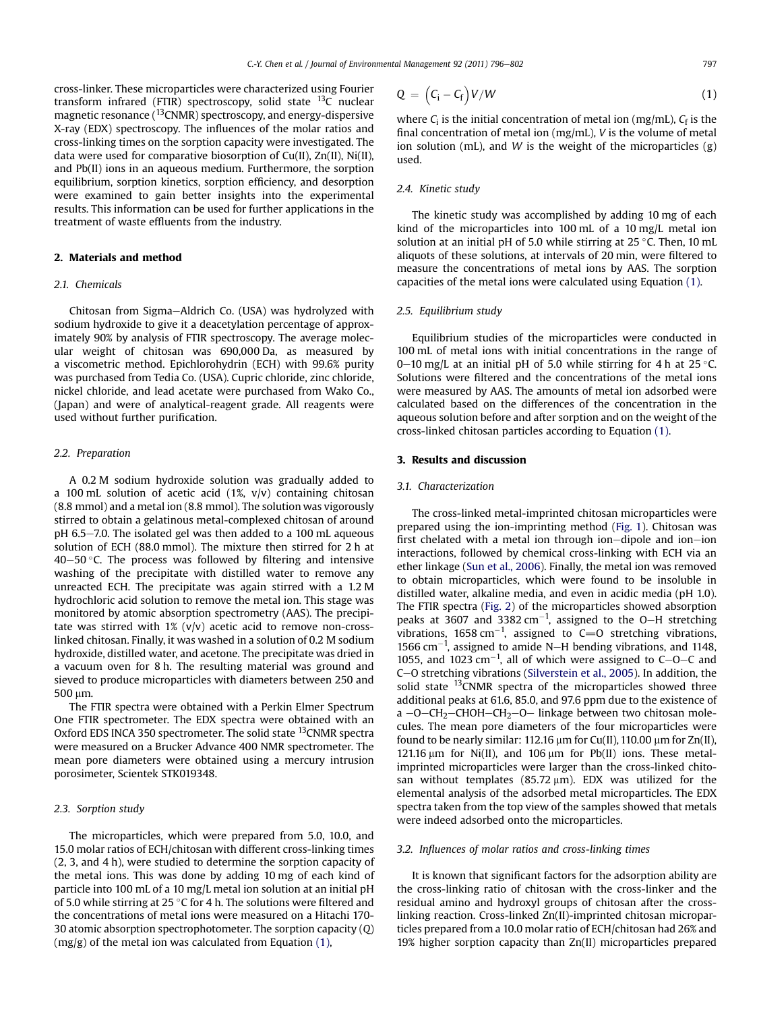cross-linker. These microparticles were characterized using Fourier transform infrared (FTIR) spectroscopy, solid state  $^{13}$ C nuclear magnetic resonance  $(^{13}$ CNMR) spectroscopy, and energy-dispersive X-ray (EDX) spectroscopy. The influences of the molar ratios and cross-linking times on the sorption capacity were investigated. The data were used for comparative biosorption of Cu(II), Zn(II), Ni(II), and Pb(II) ions in an aqueous medium. Furthermore, the sorption equilibrium, sorption kinetics, sorption efficiency, and desorption were examined to gain better insights into the experimental results. This information can be used for further applications in the treatment of waste effluents from the industry.

## 2. Materials and method

## 2.1. Chemicals

Chitosan from Sigma-Aldrich Co. (USA) was hydrolyzed with sodium hydroxide to give it a deacetylation percentage of approximately 90% by analysis of FTIR spectroscopy. The average molecular weight of chitosan was 690,000 Da, as measured by a viscometric method. Epichlorohydrin (ECH) with 99.6% purity was purchased from Tedia Co. (USA). Cupric chloride, zinc chloride, nickel chloride, and lead acetate were purchased from Wako Co., (Japan) and were of analytical-reagent grade. All reagents were used without further purification.

## 2.2. Preparation

A 0.2 M sodium hydroxide solution was gradually added to a 100 mL solution of acetic acid  $(1\% , v/v)$  containing chitosan (8.8 mmol) and a metal ion (8.8 mmol). The solution was vigorously stirred to obtain a gelatinous metal-complexed chitosan of around pH 6.5–7.0. The isolated gel was then added to a 100 mL aqueous solution of ECH (88.0 mmol). The mixture then stirred for 2 h at  $40-50$  °C. The process was followed by filtering and intensive washing of the precipitate with distilled water to remove any unreacted ECH. The precipitate was again stirred with a 1.2 M hydrochloric acid solution to remove the metal ion. This stage was monitored by atomic absorption spectrometry (AAS). The precipitate was stirred with  $1\%$  (v/v) acetic acid to remove non-crosslinked chitosan. Finally, it was washed in a solution of 0.2 M sodium hydroxide, distilled water, and acetone. The precipitate was dried in a vacuum oven for 8 h. The resulting material was ground and sieved to produce microparticles with diameters between 250 and  $500 \mu m$ .

The FTIR spectra were obtained with a Perkin Elmer Spectrum One FTIR spectrometer. The EDX spectra were obtained with an Oxford EDS INCA 350 spectrometer. The solid state <sup>13</sup>CNMR spectra were measured on a Brucker Advance 400 NMR spectrometer. The mean pore diameters were obtained using a mercury intrusion porosimeter, Scientek STK019348.

## 2.3. Sorption study

The microparticles, which were prepared from 5.0, 10.0, and 15.0 molar ratios of ECH/chitosan with different cross-linking times (2, 3, and 4 h), were studied to determine the sorption capacity of the metal ions. This was done by adding 10 mg of each kind of particle into 100 mL of a 10 mg/L metal ion solution at an initial pH of 5.0 while stirring at 25  $\degree$ C for 4 h. The solutions were filtered and the concentrations of metal ions were measured on a Hitachi 170- 30 atomic absorption spectrophotometer. The sorption capacity (Q) (mg/g) of the metal ion was calculated from Equation (1),

$$
Q = (C_i - C_f)V/W
$$
 (1)

where  $C_i$  is the initial concentration of metal ion (mg/mL),  $C_f$  is the final concentration of metal ion (mg/mL), V is the volume of metal ion solution (mL), and  $W$  is the weight of the microparticles  $(g)$ used.

## 2.4. Kinetic study

The kinetic study was accomplished by adding 10 mg of each kind of the microparticles into 100 mL of a 10 mg/L metal ion solution at an initial pH of 5.0 while stirring at 25 °C. Then, 10 mL aliquots of these solutions, at intervals of 20 min, were filtered to measure the concentrations of metal ions by AAS. The sorption capacities of the metal ions were calculated using Equation (1).

## 2.5. Equilibrium study

Equilibrium studies of the microparticles were conducted in 100 mL of metal ions with initial concentrations in the range of 0–10 mg/L at an initial pH of 5.0 while stirring for 4 h at 25  $^{\circ}$ C. Solutions were filtered and the concentrations of the metal ions were measured by AAS. The amounts of metal ion adsorbed were calculated based on the differences of the concentration in the aqueous solution before and after sorption and on the weight of the cross-linked chitosan particles according to Equation (1).

## 3. Results and discussion

## 3.1. Characterization

The cross-linked metal-imprinted chitosan microparticles were prepared using the ion-imprinting method [\(Fig. 1\)](#page-2-0). Chitosan was first chelated with a metal ion through ion-dipole and ion-ion interactions, followed by chemical cross-linking with ECH via an ether linkage [\(Sun et al., 2006](#page-6-0)). Finally, the metal ion was removed to obtain microparticles, which were found to be insoluble in distilled water, alkaline media, and even in acidic media (pH 1.0). The FTIR spectra ([Fig. 2](#page-3-0)) of the microparticles showed absorption peaks at 3607 and 3382  $cm^{-1}$ , assigned to the O–H stretching vibrations, 1658 cm<sup>-1</sup>, assigned to C=0 stretching vibrations, 1566  $\text{cm}^{-1}$ , assigned to amide N–H bending vibrations, and 1148, 1055, and 1023  $cm^{-1}$ , all of which were assigned to C-O-C and C-O stretching vibrations [\(Silverstein et al., 2005](#page-6-0)). In addition, the solid state <sup>13</sup>CNMR spectra of the microparticles showed three additional peaks at 61.6, 85.0, and 97.6 ppm due to the existence of a  $-O-CH<sub>2</sub>-CHOH-CH<sub>2</sub>-O-$  linkage between two chitosan molecules. The mean pore diameters of the four microparticles were found to be nearly similar: 112.16  $\mu$ m for Cu(II), 110.00  $\mu$ m for Zn(II), 121.16  $\mu$ m for Ni(II), and 106  $\mu$ m for Pb(II) ions. These metalimprinted microparticles were larger than the cross-linked chitosan without templates  $(85.72 \,\text{\ensuremath{\mu}m})$ . EDX was utilized for the elemental analysis of the adsorbed metal microparticles. The EDX spectra taken from the top view of the samples showed that metals were indeed adsorbed onto the microparticles.

## 3.2. Influences of molar ratios and cross-linking times

It is known that significant factors for the adsorption ability are the cross-linking ratio of chitosan with the cross-linker and the residual amino and hydroxyl groups of chitosan after the crosslinking reaction. Cross-linked Zn(II)-imprinted chitosan microparticles prepared from a 10.0 molar ratio of ECH/chitosan had 26% and 19% higher sorption capacity than Zn(II) microparticles prepared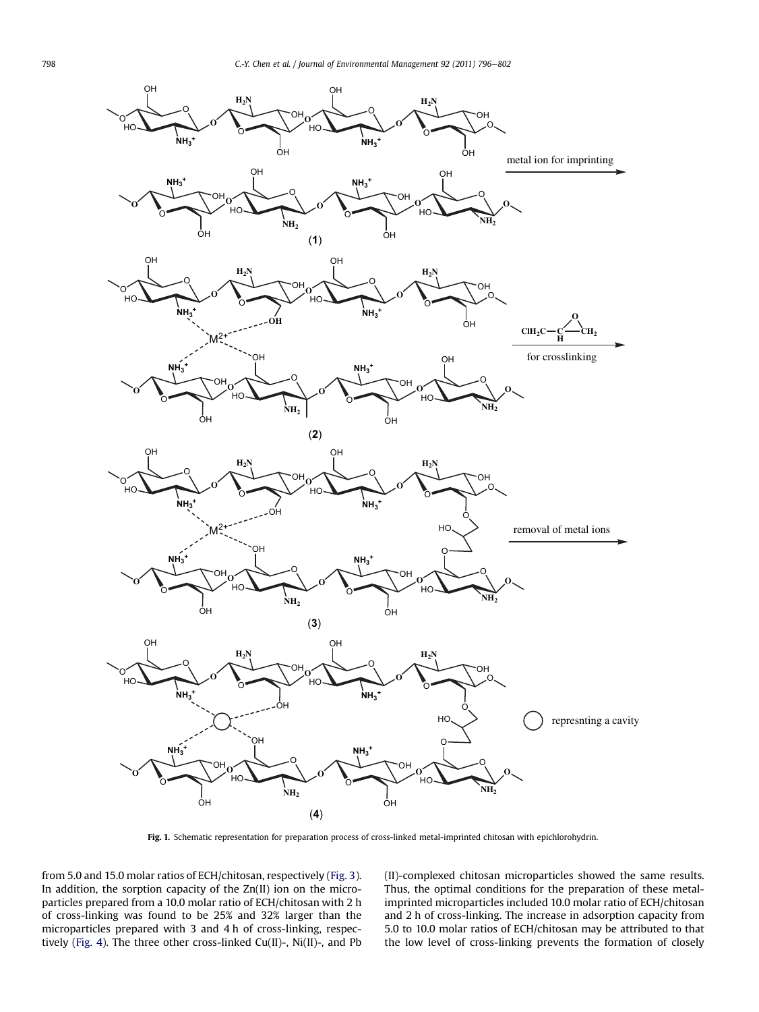<span id="page-2-0"></span>

Fig. 1. Schematic representation for preparation process of cross-linked metal-imprinted chitosan with epichlorohydrin.

from 5.0 and 15.0 molar ratios of ECH/chitosan, respectively [\(Fig. 3\)](#page-3-0). In addition, the sorption capacity of the Zn(II) ion on the microparticles prepared from a 10.0 molar ratio of ECH/chitosan with 2 h of cross-linking was found to be 25% and 32% larger than the microparticles prepared with 3 and 4 h of cross-linking, respectively ([Fig. 4](#page-3-0)). The three other cross-linked Cu(II)-, Ni(II)-, and Pb (II)-complexed chitosan microparticles showed the same results. Thus, the optimal conditions for the preparation of these metalimprinted microparticles included 10.0 molar ratio of ECH/chitosan and 2 h of cross-linking. The increase in adsorption capacity from 5.0 to 10.0 molar ratios of ECH/chitosan may be attributed to that the low level of cross-linking prevents the formation of closely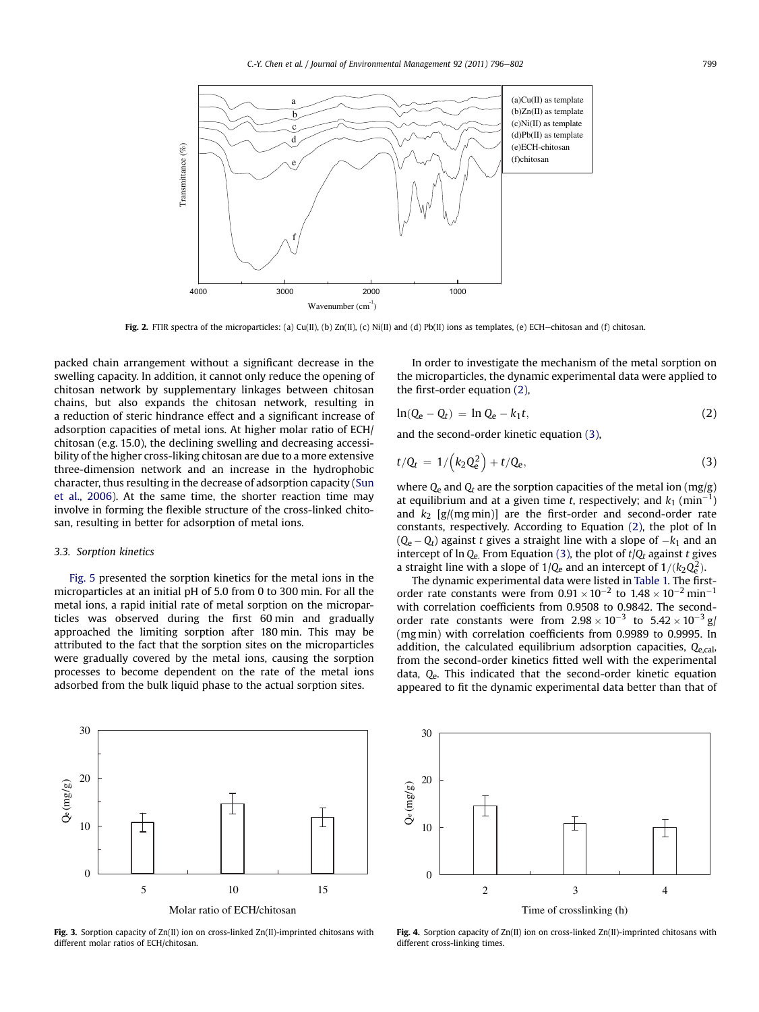<span id="page-3-0"></span>

Fig. 2. FTIR spectra of the microparticles: (a) Cu(II), (b) Zn(II), (c) Ni(II) and (d) Pb(II) ions as templates, (e) ECH-chitosan and (f) chitosan.

packed chain arrangement without a significant decrease in the swelling capacity. In addition, it cannot only reduce the opening of chitosan network by supplementary linkages between chitosan chains, but also expands the chitosan network, resulting in a reduction of steric hindrance effect and a significant increase of adsorption capacities of metal ions. At higher molar ratio of ECH/ chitosan (e.g. 15.0), the declining swelling and decreasing accessibility of the higher cross-liking chitosan are due to a more extensive three-dimension network and an increase in the hydrophobic character, thus resulting in the decrease of adsorption capacity [\(Sun](#page-6-0) [et al., 2006\)](#page-6-0). At the same time, the shorter reaction time may involve in forming the flexible structure of the cross-linked chitosan, resulting in better for adsorption of metal ions.

## 3.3. Sorption kinetics

[Fig. 5](#page-4-0) presented the sorption kinetics for the metal ions in the microparticles at an initial pH of 5.0 from 0 to 300 min. For all the metal ions, a rapid initial rate of metal sorption on the microparticles was observed during the first 60 min and gradually approached the limiting sorption after 180 min. This may be attributed to the fact that the sorption sites on the microparticles were gradually covered by the metal ions, causing the sorption processes to become dependent on the rate of the metal ions adsorbed from the bulk liquid phase to the actual sorption sites.

In order to investigate the mechanism of the metal sorption on the microparticles, the dynamic experimental data were applied to the first-order equation (2),

$$
\ln(Q_e - Q_t) = \ln Q_e - k_1 t,\tag{2}
$$

and the second-order kinetic equation (3),

$$
t/Q_t = 1/(k_2 Q_e^2) + t/Q_e,
$$
\n(3)

where  $Q_e$  and  $Q_t$  are the sorption capacities of the metal ion (mg/g) at equilibrium and at a given time t, respectively; and  $k_1$  (min<sup>-1</sup>) and  $k_2$  [g/(mg min)] are the first-order and second-order rate constants, respectively. According to Equation (2), the plot of ln  $(Q_e - Q_t)$  against t gives a straight line with a slope of  $-k_1$  and an intercept of  $\ln Q_e$ . From Equation (3), the plot of  $t/Q_t$  against t gives a straight line with a slope of  $1/Q_e$  and an intercept of  $1/(k_2Q_e^2)$ .

The dynamic experimental data were listed in [Table 1.](#page-4-0) The firstorder rate constants were from  $0.91 \times 10^{-2}$  to  $1.48 \times 10^{-2}$  min<sup>-1</sup> with correlation coefficients from 0.9508 to 0.9842. The secondorder rate constants were from  $2.98 \times 10^{-3}$  to  $5.42 \times 10^{-3}$  g/ (mg min) with correlation coefficients from 0.9989 to 0.9995. In addition, the calculated equilibrium adsorption capacities,  $Q_{e, cal}$ , from the second-order kinetics fitted well with the experimental data,  $Q_{e}$ . This indicated that the second-order kinetic equation appeared to fit the dynamic experimental data better than that of



Fig. 3. Sorption capacity of  $Zn(II)$  ion on cross-linked  $Zn(II)$ -imprinted chitosans with different molar ratios of ECH/chitosan.



Fig. 4. Sorption capacity of  $Zn(II)$  ion on cross-linked  $Zn(II)$ -imprinted chitosans with different cross-linking times.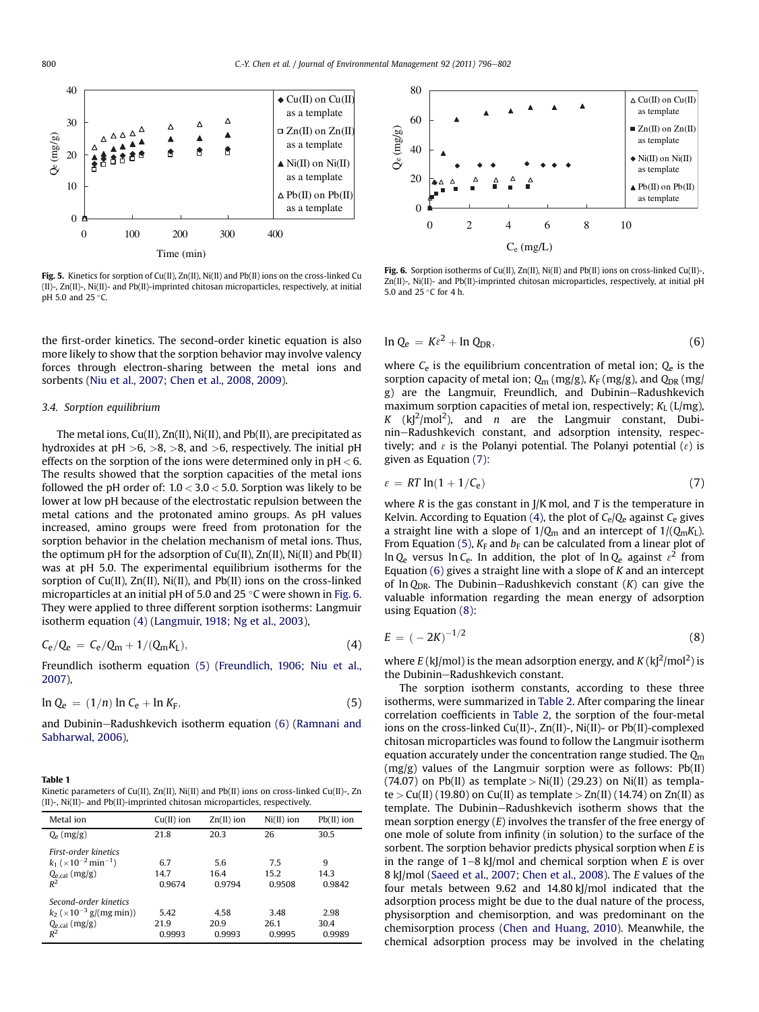<span id="page-4-0"></span>

Fig. 5. Kinetics for sorption of Cu(II), Zn(II), Ni(II) and Pb(II) ions on the cross-linked Cu (II)-, Zn(II)-, Ni(II)- and Pb(II)-imprinted chitosan microparticles, respectively, at initial pH 5.0 and 25  $^{\circ}$ C.

the first-order kinetics. The second-order kinetic equation is also more likely to show that the sorption behavior may involve valency forces through electron-sharing between the metal ions and sorbents ([Niu et al., 2007; Chen et al., 2008, 2009\)](#page-6-0).

## 3.4. Sorption equilibrium

The metal ions, Cu(II), Zn(II), Ni(II), and Pb(II), are precipitated as hydroxides at  $pH > 6$ ,  $> 8$ ,  $> 8$ , and  $> 6$ , respectively. The initial  $pH$ effects on the sorption of the ions were determined only in  $pH < 6$ . The results showed that the sorption capacities of the metal ions followed the pH order of:  $1.0 < 3.0 < 5.0$ . Sorption was likely to be lower at low pH because of the electrostatic repulsion between the metal cations and the protonated amino groups. As pH values increased, amino groups were freed from protonation for the sorption behavior in the chelation mechanism of metal ions. Thus, the optimum pH for the adsorption of Cu(II), Zn(II), Ni(II) and Pb(II) was at pH 5.0. The experimental equilibrium isotherms for the sorption of Cu(II), Zn(II), Ni(II), and Pb(II) ions on the cross-linked microparticles at an initial pH of 5.0 and 25 °C were shown in Fig. 6. They were applied to three different sorption isotherms: Langmuir isotherm equation (4) [\(Langmuir, 1918; Ng et al., 2003](#page-6-0)),

$$
C_e/Q_e = C_e/Q_m + 1/(Q_m K_L), \qquad (4)
$$

Freundlich isotherm equation (5) ([Freundlich, 1906; Niu et al.,](#page-6-0) [2007\)](#page-6-0),

$$
\ln Q_e = (1/n) \ln C_e + \ln K_F, \tag{5}
$$

and Dubinin-Radushkevich isotherm equation (6) ([Ramnani and](#page-6-0) [Sabharwal, 2006\)](#page-6-0),

Table 1 Kinetic parameters of Cu(II), Zn(II), Ni(II) and Pb(II) ions on cross-linked Cu(II)-, Zn (II)-, Ni(II)- and Pb(II)-imprinted chitosan microparticles, respectively.

| Metal ion                                                                                                    | $Cu(II)$ ion           | $Zn(II)$ ion           | $Ni(II)$ ion           | $Pb(II)$ ion           |
|--------------------------------------------------------------------------------------------------------------|------------------------|------------------------|------------------------|------------------------|
| $Q_e$ (mg/g)                                                                                                 | 21.8                   | 20.3                   | 26                     | 30.5                   |
| First-order kinetics<br>$k_1$ ( $\times$ 10 <sup>-2</sup> min <sup>-1</sup> )<br>$Q_{e,cal}$ (mg/g)<br>$R^2$ | 6.7<br>14.7<br>0.9674  | 5.6<br>16.4<br>0.9794  | 7.5<br>15.2<br>0.9508  | 9<br>14.3<br>0.9842    |
| Second-order kinetics<br>$k_2$ ( $\times$ 10 <sup>-3</sup> g/(mg min))<br>$Q_{e,cal}$ (mg/g)<br>$R^2$        | 5.42<br>21.9<br>0.9993 | 4.58<br>20.9<br>0.9993 | 3.48<br>26.1<br>0.9995 | 2.98<br>30.4<br>0.9989 |



Fig. 6. Sorption isotherms of Cu(II),  $Zn(II)$ , Ni(II) and Pb(II) ions on cross-linked Cu(II)-, Zn(II)-, Ni(II)- and Pb(II)-imprinted chitosan microparticles, respectively, at initial pH 5.0 and 25  $^{\circ}$ C for 4 h.

$$
\ln Q_{\rm e} = K \varepsilon^2 + \ln Q_{\rm DR}, \tag{6}
$$

where  $C_e$  is the equilibrium concentration of metal ion;  $Q_e$  is the sorption capacity of metal ion;  $Q_m (mg/g)$ ,  $K_F (mg/g)$ , and  $Q_{DR} (mg/g)$ g) are the Langmuir, Freundlich, and Dubinin-Radushkevich maximum sorption capacities of metal ion, respectively;  $K_L$  (L/mg), K (kJ<sup>2</sup>/mol<sup>2</sup>), and *n* are the Langmuir constant, Dubinin-Radushkevich constant, and adsorption intensity, respectively; and  $\varepsilon$  is the Polanyi potential. The Polanyi potential  $(\varepsilon)$  is given as Equation (7):

$$
\varepsilon = RT \ln(1 + 1/C_e) \tag{7}
$$

where R is the gas constant in  $J/K$  mol, and T is the temperature in Kelvin. According to Equation (4), the plot of  $C_e/Q_e$  against  $C_e$  gives a straight line with a slope of  $1/Q_m$  and an intercept of  $1/(Q_mK_L)$ . From Equation (5),  $K_F$  and  $b_F$  can be calculated from a linear plot of  $\ln Q_e$  versus  $\ln C_e$ . In addition, the plot of  $\ln Q_e$  against  $\epsilon^2$  from Equation  $(6)$  gives a straight line with a slope of  $K$  and an intercept of  $\ln Q_{\text{DR}}$ . The Dubinin–Radushkevich constant (K) can give the valuable information regarding the mean energy of adsorption using Equation (8):

$$
E = (-2K)^{-1/2}
$$
 (8)

where E (kJ/mol) is the mean adsorption energy, and  $K$  (kJ<sup>2</sup>/mol<sup>2</sup>) is the Dubinin-Radushkevich constant.

The sorption isotherm constants, according to these three isotherms, were summarized in [Table 2](#page-5-0). After comparing the linear correlation coefficients in [Table 2,](#page-5-0) the sorption of the four-metal ions on the cross-linked Cu(II)-, Zn(II)-, Ni(II)- or Pb(II)-complexed chitosan microparticles was found to follow the Langmuir isotherm equation accurately under the concentration range studied. The  $Q<sub>m</sub>$ (mg/g) values of the Langmuir sorption were as follows: Pb(II) (74.07) on Pb(II) as template > Ni(II) (29.23) on Ni(II) as templa $te > Cu(II)$  (19.80) on Cu(II) as template  $> Zn(II)$  (14.74) on Zn(II) as template. The Dubinin-Radushkevich isotherm shows that the mean sorption energy  $(E)$  involves the transfer of the free energy of one mole of solute from infinity (in solution) to the surface of the sorbent. The sorption behavior predicts physical sorption when E is in the range of  $1-8$  kJ/mol and chemical sorption when E is over 8 kJ/mol ([Saeed et al., 2007; Chen et al., 2008\)](#page-6-0). The E values of the four metals between 9.62 and 14.80 kJ/mol indicated that the adsorption process might be due to the dual nature of the process, physisorption and chemisorption, and was predominant on the chemisorption process ([Chen and Huang, 2010](#page-6-0)). Meanwhile, the chemical adsorption process may be involved in the chelating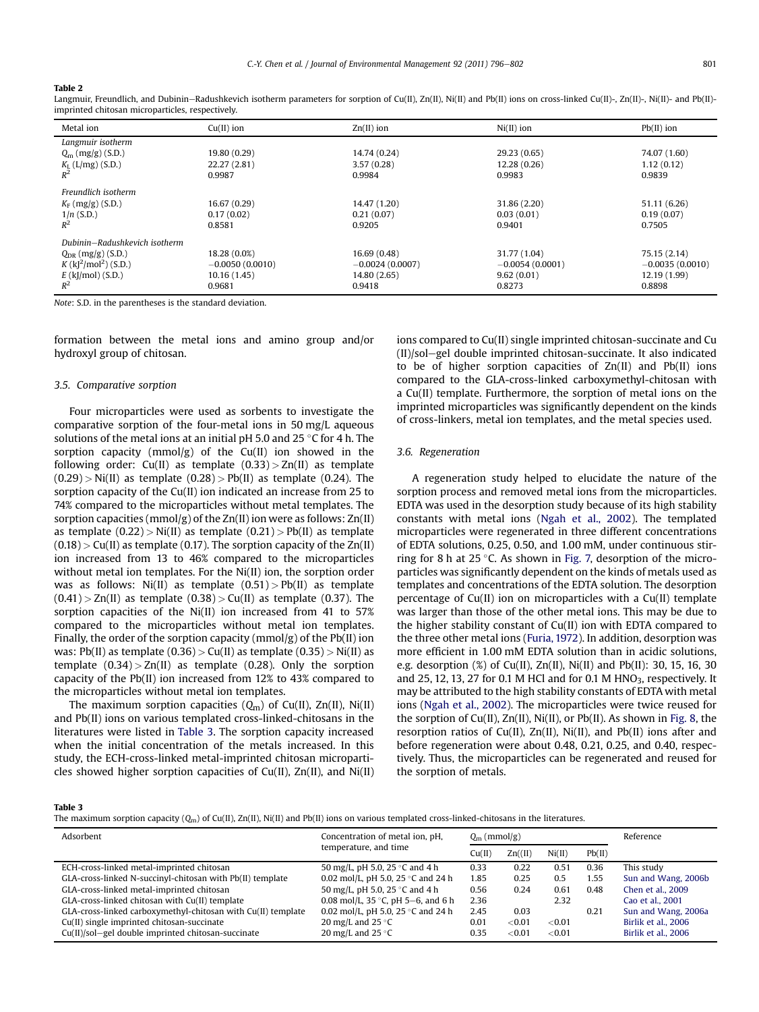#### <span id="page-5-0"></span>Table 2

Langmuir, Freundlich, and Dubinin-Radushkevich isotherm parameters for sorption of Cu(II), Zn(II), Ni(II) and Pb(II) ions on cross-linked Cu(II)-, Zn(II)-, Ni(II)- and Pb(II)imprinted chitosan microparticles, respectively.

| Metal ion                                                                                                                                  | $Cu(II)$ ion                                                | $Zn(II)$ ion                                               | $Ni(II)$ ion                                              | $Pb(II)$ ion                                                |
|--------------------------------------------------------------------------------------------------------------------------------------------|-------------------------------------------------------------|------------------------------------------------------------|-----------------------------------------------------------|-------------------------------------------------------------|
| Langmuir isotherm<br>$Q_{\rm m}$ (mg/g) (S.D.)<br>$K_{\rm L}$ (L/mg) (S.D.)<br>$R^2$                                                       | 19.80 (0.29)<br>22.27 (2.81)<br>0.9987                      | 14.74 (0.24)<br>3.57(0.28)<br>0.9984                       | 29.23 (0.65)<br>12.28 (0.26)<br>0.9983                    | 74.07 (1.60)<br>1.12(0.12)<br>0.9839                        |
| Freundlich isotherm<br>$K_F$ (mg/g) (S.D.)<br>$1/n$ (S.D.)<br>$R^2$                                                                        | 16.67 (0.29)<br>0.17(0.02)<br>0.8581                        | 14.47 (1.20)<br>0.21(0.07)<br>0.9205                       | 31.86 (2.20)<br>0.03(0.01)<br>0.9401                      | 51.11 (6.26)<br>0.19(0.07)<br>0.7505                        |
| Dubinin-Radushkevich isotherm<br>$Q_{DR}$ (mg/g) (S.D.)<br>$K$ (k  <sup>2</sup> /mol <sup>2</sup> ) (S.D.)<br>$E$ (kJ/mol) (S.D.)<br>$R^2$ | 18.28 (0.0%)<br>$-0.0050(0.0010)$<br>10.16 (1.45)<br>0.9681 | 16.69(0.48)<br>$-0.0024(0.0007)$<br>14.80 (2.65)<br>0.9418 | 31.77 (1.04)<br>$-0.0054(0.0001)$<br>9.62(0.01)<br>0.8273 | 75.15 (2.14)<br>$-0.0035(0.0010)$<br>12.19 (1.99)<br>0.8898 |

Note: S.D. in the parentheses is the standard deviation.

formation between the metal ions and amino group and/or hydroxyl group of chitosan.

#### 3.5. Comparative sorption

Four microparticles were used as sorbents to investigate the comparative sorption of the four-metal ions in 50 mg/L aqueous solutions of the metal ions at an initial pH 5.0 and 25 °C for 4 h. The sorption capacity ( $mmol/g$ ) of the Cu(II) ion showed in the following order: Cu(II) as template  $(0.33) > Zn(II)$  as template  $(0.29) > Ni(II)$  as template  $(0.28) > Pb(II)$  as template  $(0.24)$ . The sorption capacity of the Cu(II) ion indicated an increase from 25 to 74% compared to the microparticles without metal templates. The sorption capacities ( $mmol/g$ ) of the  $Zn(II)$  ion were as follows:  $Zn(II)$ as template  $(0.22) > Ni(II)$  as template  $(0.21) > Pb(II)$  as template  $(0.18)$  > Cu(II) as template (0.17). The sorption capacity of the Zn(II) ion increased from 13 to 46% compared to the microparticles without metal ion templates. For the Ni(II) ion, the sorption order was as follows: Ni(II) as template  $(0.51)$  > Pb(II) as template  $(0.41) > Zn(II)$  as template  $(0.38) > Cu(II)$  as template  $(0.37)$ . The sorption capacities of the Ni(II) ion increased from 41 to 57% compared to the microparticles without metal ion templates. Finally, the order of the sorption capacity (mmol/g) of the Pb(II) ion was: Pb(II) as template  $(0.36)$  > Cu(II) as template  $(0.35)$  > Ni(II) as template  $(0.34) > Zn(II)$  as template  $(0.28)$ . Only the sorption capacity of the Pb(II) ion increased from 12% to 43% compared to the microparticles without metal ion templates.

The maximum sorption capacities  $(Q_m)$  of Cu(II), Zn(II), Ni(II) and Pb(II) ions on various templated cross-linked-chitosans in the literatures were listed in Table 3. The sorption capacity increased when the initial concentration of the metals increased. In this study, the ECH-cross-linked metal-imprinted chitosan microparticles showed higher sorption capacities of  $Cu(II)$ ,  $Zn(II)$ , and  $Ni(II)$  ions compared to Cu(II) single imprinted chitosan-succinate and Cu  $(II)/sol-gel$  double imprinted chitosan-succinate. It also indicated to be of higher sorption capacities of Zn(II) and Pb(II) ions compared to the GLA-cross-linked carboxymethyl-chitosan with a Cu(II) template. Furthermore, the sorption of metal ions on the imprinted microparticles was significantly dependent on the kinds of cross-linkers, metal ion templates, and the metal species used.

## 3.6. Regeneration

A regeneration study helped to elucidate the nature of the sorption process and removed metal ions from the microparticles. EDTA was used in the desorption study because of its high stability constants with metal ions ([Ngah et al., 2002\)](#page-6-0). The templated microparticles were regenerated in three different concentrations of EDTA solutions, 0.25, 0.50, and 1.00 mM, under continuous stirring for 8 h at 25  $\degree$ C. As shown in [Fig. 7,](#page-6-0) desorption of the microparticles was significantly dependent on the kinds of metals used as templates and concentrations of the EDTA solution. The desorption percentage of Cu(II) ion on microparticles with a Cu(II) template was larger than those of the other metal ions. This may be due to the higher stability constant of Cu(II) ion with EDTA compared to the three other metal ions ([Furia, 1972\)](#page-6-0). In addition, desorption was more efficient in 1.00 mM EDTA solution than in acidic solutions, e.g. desorption  $(\%)$  of Cu(II), Zn(II), Ni(II) and Pb(II): 30, 15, 16, 30 and 25, 12, 13, 27 for 0.1 M HCl and for 0.1 M  $HNO<sub>3</sub>$ , respectively. It may be attributed to the high stability constants of EDTA with metal ions ([Ngah et al., 2002\)](#page-6-0). The microparticles were twice reused for the sorption of Cu(II), Zn(II), Ni(II), or Pb(II). As shown in [Fig. 8](#page-6-0), the resorption ratios of Cu(II), Zn(II), Ni(II), and Pb(II) ions after and before regeneration were about 0.48, 0.21, 0.25, and 0.40, respectively. Thus, the microparticles can be regenerated and reused for the sorption of metals.

Table 3

| The maximum sorption capacity ( $Q_m$ ) of Cu(II), Zn(II), Ni(II) and Pb(II) ions on various templated cross-linked-chitosans in the literatures. |  |
|---------------------------------------------------------------------------------------------------------------------------------------------------|--|
|---------------------------------------------------------------------------------------------------------------------------------------------------|--|

| Adsorbent                                                    | Concentration of metal ion, pH,             | $Q_{\rm m}$ (mmol/g) |           |        |        | Reference           |
|--------------------------------------------------------------|---------------------------------------------|----------------------|-----------|--------|--------|---------------------|
|                                                              | temperature, and time                       | Cu(II)               | $Zn($ II) | Ni(II) | Pb(II) |                     |
| ECH-cross-linked metal-imprinted chitosan                    | 50 mg/L, pH 5.0, 25 °C and 4 h              | 0.33                 | 0.22      | 0.51   | 0.36   | This study          |
| GLA-cross-linked N-succinyl-chitosan with Pb(II) template    | 0.02 mol/L, pH 5.0, 25 $\degree$ C and 24 h | 1.85                 | 0.25      | 0.5    | 1.55   | Sun and Wang, 2006b |
| GLA-cross-linked metal-imprinted chitosan                    | 50 mg/L, pH 5.0, 25 °C and 4 h              | 0.56                 | 0.24      | 0.61   | 0.48   | Chen et al., 2009   |
| GLA-cross-linked chitosan with Cu(II) template               | 0.08 mol/L, 35 °C, pH 5–6, and 6 h          | 2.36                 |           | 2.32   |        | Cao et al., 2001    |
| GLA-cross-linked carboxymethyl-chitosan with Cu(II) template | 0.02 mol/L, pH 5.0, 25 $\degree$ C and 24 h | 2.45                 | 0.03      |        | 0.21   | Sun and Wang, 2006a |
| Cu(II) single imprinted chitosan-succinate                   | 20 mg/L and 25 $\degree$ C                  | 0.01                 | ${<}0.01$ | < 0.01 |        | Birlik et al., 2006 |
| Cu(II)/sol-gel double imprinted chitosan-succinate           | 20 mg/L and 25 $\degree$ C                  | 0.35                 | ${<}0.01$ | < 0.01 |        | Birlik et al., 2006 |